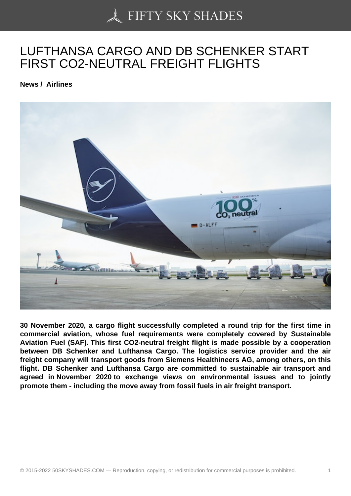## [LUFTHANSA CARGO](https://50skyshades.com) AND DB SCHENKER START FIRST CO2-NEUTRAL FREIGHT FLIGHTS

News / Airlines

30 November 2020, a cargo flight successfully completed a round trip for the first time in commercial aviation, whose fuel requirements were completely covered by Sustainable Aviation Fuel (SAF). This first CO2-neutral freight flight is made possible by a cooperation between DB Schenker and Lufthansa Cargo. The logistics service provider and the air freight company will transport goods from Siemens Healthineers AG, among others, on this flight. DB Schenker and Lufthansa Cargo are committed to sustainable air transport and agreed in November 2020 to exchange views on environmental issues and to jointly promote them - including the move away from fossil fuels in air freight transport.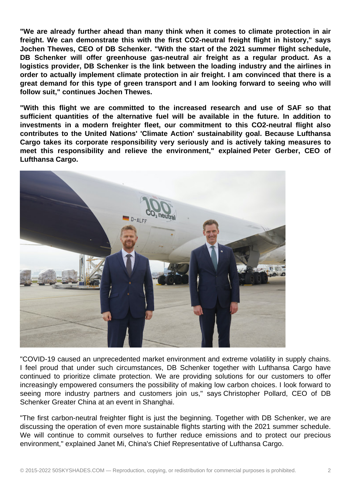**"We are already further ahead than many think when it comes to climate protection in air freight. We can demonstrate this with the first CO2-neutral freight flight in history," says Jochen Thewes, CEO of DB Schenker. "With the start of the 2021 summer flight schedule, DB Schenker will offer greenhouse gas-neutral air freight as a regular product. As a logistics provider, DB Schenker is the link between the loading industry and the airlines in order to actually implement climate protection in air freight. I am convinced that there is a great demand for this type of green transport and I am looking forward to seeing who will follow suit," continues Jochen Thewes.**

**"With this flight we are committed to the increased research and use of SAF so that sufficient quantities of the alternative fuel will be available in the future. In addition to investments in a modern freighter fleet, our commitment to this CO2-neutral flight also contributes to the United Nations' 'Climate Action' sustainability goal. Because Lufthansa Cargo takes its corporate responsibility very seriously and is actively taking measures to meet this responsibility and relieve the environment," explained Peter Gerber, CEO of Lufthansa Cargo.**



"COVID-19 caused an unprecedented market environment and extreme volatility in supply chains. I feel proud that under such circumstances, DB Schenker together with Lufthansa Cargo have continued to prioritize climate protection. We are providing solutions for our customers to offer increasingly empowered consumers the possibility of making low carbon choices. I look forward to seeing more industry partners and customers join us," says Christopher Pollard, CEO of DB Schenker Greater China at an event in Shanghai.

"The first carbon-neutral freighter flight is just the beginning. Together with DB Schenker, we are discussing the operation of even more sustainable flights starting with the 2021 summer schedule. We will continue to commit ourselves to further reduce emissions and to protect our precious environment," explained Janet Mi, China's Chief Representative of Lufthansa Cargo.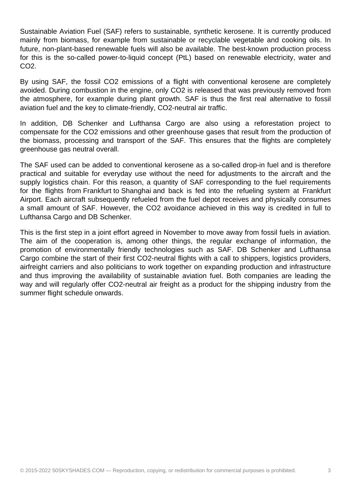Sustainable Aviation Fuel (SAF) refers to sustainable, synthetic kerosene. It is currently produced mainly from biomass, for example from sustainable or recyclable vegetable and cooking oils. In future, non-plant-based renewable fuels will also be available. The best-known production process for this is the so-called power-to-liquid concept (PtL) based on renewable electricity, water and CO2.

By using SAF, the fossil CO2 emissions of a flight with conventional kerosene are completely avoided. During combustion in the engine, only CO2 is released that was previously removed from the atmosphere, for example during plant growth. SAF is thus the first real alternative to fossil aviation fuel and the key to climate-friendly, CO2-neutral air traffic.

In addition, DB Schenker and Lufthansa Cargo are also using a reforestation project to compensate for the CO2 emissions and other greenhouse gases that result from the production of the biomass, processing and transport of the SAF. This ensures that the flights are completely greenhouse gas neutral overall.

The SAF used can be added to conventional kerosene as a so-called drop-in fuel and is therefore practical and suitable for everyday use without the need for adjustments to the aircraft and the supply logistics chain. For this reason, a quantity of SAF corresponding to the fuel requirements for the flights from Frankfurt to Shanghai and back is fed into the refueling system at Frankfurt Airport. Each aircraft subsequently refueled from the fuel depot receives and physically consumes a small amount of SAF. However, the CO2 avoidance achieved in this way is credited in full to Lufthansa Cargo and DB Schenker.

This is the first step in a joint effort agreed in November to move away from fossil fuels in aviation. The aim of the cooperation is, among other things, the regular exchange of information, the promotion of environmentally friendly technologies such as SAF. DB Schenker and Lufthansa Cargo combine the start of their first CO2-neutral flights with a call to shippers, logistics providers, airfreight carriers and also politicians to work together on expanding production and infrastructure and thus improving the availability of sustainable aviation fuel. Both companies are leading the way and will regularly offer CO2-neutral air freight as a product for the shipping industry from the summer flight schedule onwards.